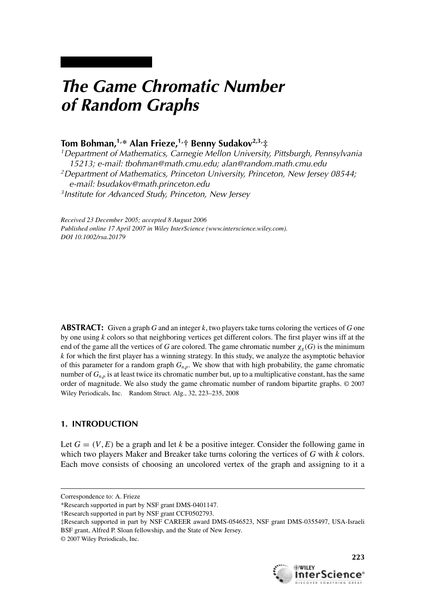# *The Game Chromatic Number of Random Graphs*

## **Tom Bohman,1,\* Alan Frieze,1,† Benny Sudakov2,3,‡**

*1Department of Mathematics, Carnegie Mellon University, Pittsburgh, Pennsylvania 15213; e-mail: tbohman@math.cmu.edu; alan@random.math.cmu.edu 2Department of Mathematics, Princeton University, Princeton, New Jersey 08544; e-mail: bsudakov@math.princeton.edu 3Institute for Advanced Study, Princeton, New Jersey*

*Received 23 December 2005; accepted 8 August 2006 Published online 17 April 2007 in Wiley InterScience (www.interscience.wiley.com). DOI 10.1002/rsa.20179*

**ABSTRACT:** Given a graph *G* and an integer *k*, two players take turns coloring the vertices of *G* one by one using *k* colors so that neighboring vertices get different colors. The first player wins iff at the end of the game all the vertices of *G* are colored. The game chromatic number  $\chi_g(G)$  is the minimum *k* for which the first player has a winning strategy. In this study, we analyze the asymptotic behavior of this parameter for a random graph  $G_{n,p}$ . We show that with high probability, the game chromatic number of  $G_{n,p}$  is at least twice its chromatic number but, up to a multiplicative constant, has the same order of magnitude. We also study the game chromatic number of random bipartite graphs. © 2007 Wiley Periodicals, Inc. Random Struct. Alg., 32, 223–235, 2008

### **1. INTRODUCTION**

Let  $G = (V, E)$  be a graph and let *k* be a positive integer. Consider the following game in which two players Maker and Breaker take turns coloring the vertices of *G* with *k* colors. Each move consists of choosing an uncolored vertex of the graph and assigning to it a



Correspondence to: A. Frieze

<sup>\*</sup>Research supported in part by NSF grant DMS-0401147.

<sup>†</sup>Research supported in part by NSF grant CCF0502793.

<sup>‡</sup>Research supported in part by NSF CAREER award DMS-0546523, NSF grant DMS-0355497, USA-Israeli BSF grant, Alfred P. Sloan fellowship, and the State of New Jersey.

<sup>© 2007</sup> Wiley Periodicals, Inc.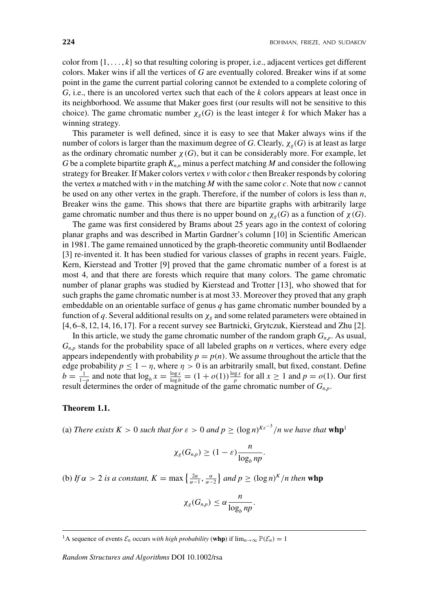color from  $\{1, \ldots, k\}$  so that resulting coloring is proper, i.e., adjacent vertices get different colors. Maker wins if all the vertices of *G* are eventually colored. Breaker wins if at some point in the game the current partial coloring cannot be extended to a complete coloring of *G*, i.e., there is an uncolored vertex such that each of the *k* colors appears at least once in its neighborhood. We assume that Maker goes first (our results will not be sensitive to this choice). The game chromatic number  $\chi_g(G)$  is the least integer *k* for which Maker has a winning strategy.

This parameter is well defined, since it is easy to see that Maker always wins if the number of colors is larger than the maximum degree of *G*. Clearly,  $\chi_g(G)$  is at least as large as the ordinary chromatic number  $\chi(G)$ , but it can be considerably more. For example, let *G* be a complete bipartite graph  $K_{n,n}$  minus a perfect matching *M* and consider the following strategy for Breaker. If Maker colors vertex *v* with color *c* then Breaker responds by coloring the vertex *u* matched with *v* in the matching *M* with the same color *c*. Note that now *c* cannot be used on any other vertex in the graph. Therefore, if the number of colors is less than *n*, Breaker wins the game. This shows that there are bipartite graphs with arbitrarily large game chromatic number and thus there is no upper bound on  $\chi_g(G)$  as a function of  $\chi(G)$ .

The game was first considered by Brams about 25 years ago in the context of coloring planar graphs and was described in Martin Gardner's column [10] in Scientific American in 1981. The game remained unnoticed by the graph-theoretic community until Bodlaender [3] re-invented it. It has been studied for various classes of graphs in recent years. Faigle, Kern, Kierstead and Trotter [9] proved that the game chromatic number of a forest is at most 4, and that there are forests which require that many colors. The game chromatic number of planar graphs was studied by Kierstead and Trotter [13], who showed that for such graphs the game chromatic number is at most 33. Moreover they proved that any graph embeddable on an orientable surface of genus *q* has game chromatic number bounded by a function of *q*. Several additional results on  $\chi_g$  and some related parameters were obtained in [4, 6–8, 12, 14, 16, 17]. For a recent survey see Bartnicki, Grytczuk, Kierstead and Zhu [2].

In this article, we study the game chromatic number of the random graph  $G_{n,p}$ . As usual,  $G_{n,p}$  stands for the probability space of all labeled graphs on *n* vertices, where every edge appears independently with probability  $p = p(n)$ . We assume throughout the article that the edge probability  $p \leq 1 - \eta$ , where  $\eta > 0$  is an arbitrarily small, but fixed, constant. Define  $b = \frac{1}{1-p}$  and note that  $\log_b x = \frac{\log x}{\log b} = (1 + o(1)) \frac{\log x}{p}$  for all  $x \ge 1$  and  $p = o(1)$ . Our first result determines the order of magnitude of the game chromatic number of *Gn*,*<sup>p</sup>*.

#### **Theorem 1.1.**

(a) *There exists*  $K > 0$  *such that for*  $\varepsilon > 0$  *and*  $p \ge (\log n)^{K\varepsilon^{-3}}/n$  we have that  $\textbf{whp}^1$ 

$$
\chi_g(G_{n,p}) \ge (1-\varepsilon) \frac{n}{\log_b np}.
$$

(b) *If*  $\alpha > 2$  *is a constant,*  $K = \max\left\{\frac{2\alpha}{\alpha - 1}, \frac{\alpha}{\alpha - 2}\right\}$  *and*  $p \geq (\log n)^K/n$  *then* whp

$$
\chi_g(G_{n,p})\leq \alpha \frac{n}{\log_b np}.
$$

<sup>&</sup>lt;sup>1</sup>A sequence of events  $\mathcal{E}_n$  occurs *with high probability* (**whp**) if  $\lim_{n\to\infty} \mathbb{P}(\mathcal{E}_n) = 1$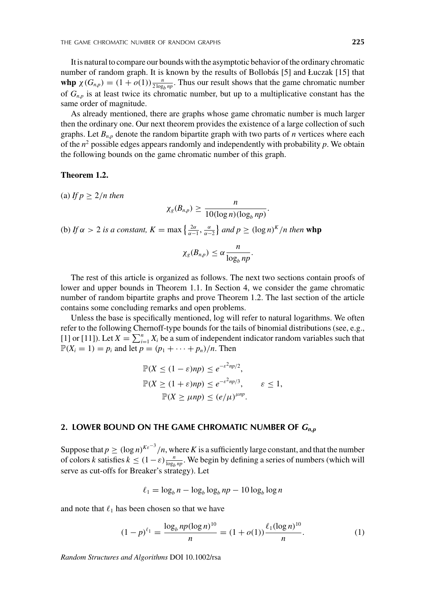It is natural to compare our bounds with the asymptotic behavior of the ordinary chromatic number of random graph. It is known by the results of Bollobás [5] and Łuczak [15] that **whp**  $\chi(G_{n,p}) = (1 + o(1)) \frac{n}{2 \log_b np}$ . Thus our result shows that the game chromatic number of  $G_{n,p}$  is at least twice its chromatic number, but up to a multiplicative constant has the same order of magnitude.

As already mentioned, there are graphs whose game chromatic number is much larger then the ordinary one. Our next theorem provides the existence of a large collection of such graphs. Let  $B_{n,p}$  denote the random bipartite graph with two parts of *n* vertices where each of the  $n^2$  possible edges appears randomly and independently with probability  $p$ . We obtain the following bounds on the game chromatic number of this graph.

#### **Theorem 1.2.**

(a) If  $p > 2/n$  then

$$
\chi_g(B_{n,p}) \geq \frac{n}{10(\log n)(\log_b np)}.
$$

(b) *If*  $\alpha > 2$  *is a constant,*  $K = \max\left\{\frac{2\alpha}{\alpha - 1}, \frac{\alpha}{\alpha - 2}\right\}$  *and*  $p \geq (\log n)^K/n$  *then* whp

$$
\chi_g(B_{n,p})\leq \alpha \frac{n}{\log_b np}.
$$

The rest of this article is organized as follows. The next two sections contain proofs of lower and upper bounds in Theorem 1.1. In Section 4, we consider the game chromatic number of random bipartite graphs and prove Theorem 1.2. The last section of the article contains some concluding remarks and open problems.

Unless the base is specifically mentioned, log will refer to natural logarithms. We often refer to the following Chernoff-type bounds for the tails of binomial distributions (see, e.g., [1] or [11]). Let  $X = \sum_{i=1}^{n} X_i$  be a sum of independent indicator random variables such that  $\mathbb{P}(X_i = 1) = p_i$  and let  $p = (p_1 + \cdots + p_n)/n$ . Then

$$
\mathbb{P}(X \le (1 - \varepsilon)np) \le e^{-\varepsilon^2 np/2},
$$
  

$$
\mathbb{P}(X \ge (1 + \varepsilon)np) \le e^{-\varepsilon^2 np/3}, \qquad \varepsilon \le 1,
$$
  

$$
\mathbb{P}(X \ge \mu np) \le (e/\mu)^{\mu np}.
$$

#### **2. LOWER BOUND ON THE GAME CHROMATIC NUMBER OF** *Gn***,***<sup>p</sup>*

Suppose that  $p \geq (\log n)^{K \varepsilon^{-3}}/n$ , where K is a sufficiently large constant, and that the number of colors *k* satisfies  $k \leq (1 - \varepsilon) \frac{n}{\log_b np}$ . We begin by defining a series of numbers (which will serve as cut-offs for Breaker's strategy). Let

$$
\ell_1 = \log_b n - \log_b \log_b np - 10 \log_b \log n
$$

and note that  $\ell_1$  has been chosen so that we have

$$
(1-p)^{\ell_1} = \frac{\log_b np(\log n)^{10}}{n} = (1+o(1)) \frac{\ell_1(\log n)^{10}}{n}.
$$
 (1)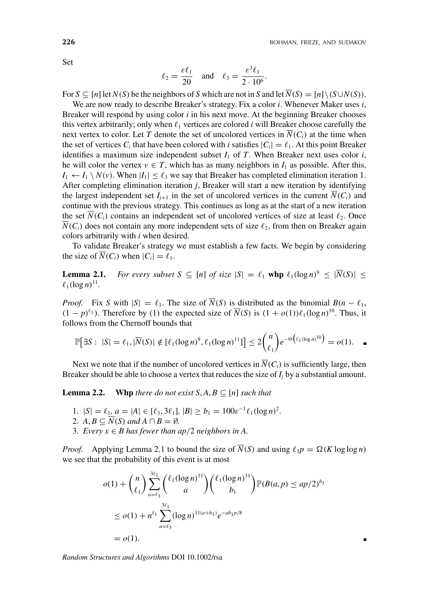Set

$$
\ell_2 = \frac{\varepsilon \ell_1}{20}
$$
 and  $\ell_3 = \frac{\varepsilon^3 \ell_1}{2 \cdot 10^6}$ .

For  $S \subseteq [n]$  let  $N(S)$  be the neighbors of *S* which are not in *S* and let  $\overline{N}(S) = [n] \setminus (S \cup N(S))$ .

We are now ready to describe Breaker's strategy. Fix a color *i*. Whenever Maker uses *i*, Breaker will respond by using color *i* in his next move. At the beginning Breaker chooses this vertex arbitrarily; only when  $\ell_1$  vertices are colored *i* will Breaker choose carefully the next vertex to color. Let *T* denote the set of uncolored vertices in  $\overline{N}(C_i)$  at the time when the set of vertices  $C_i$  that have been colored with *i* satisfies  $|C_i| = \ell_1$ . At this point Breaker identifies a maximum size independent subset  $I_1$  of  $T$ . When Breaker next uses color  $i$ , he will color the vertex  $v \in T$ , which has as many neighbors in  $I_1$  as possible. After this,  $I_1 \leftarrow I_1 \setminus N(v)$ . When  $|I_1| \leq \ell_3$  we say that Breaker has completed elimination iteration 1. After completing elimination iteration *j*, Breaker will start a new iteration by identifying the largest independent set  $I_{i+1}$  in the set of uncolored vertices in the current  $\overline{N}(C_i)$  and continue with the previous strategy. This continues as long as at the start of a new iteration the set  $\overline{N}(C_i)$  contains an independent set of uncolored vertices of size at least  $\ell_2$ . Once  $N(C_i)$  does not contain any more independent sets of size  $\ell_2$ , from then on Breaker again colors arbitrarily with *i* when desired.

To validate Breaker's strategy we must establish a few facts. We begin by considering the size of  $\overline{N}(C_i)$  when  $|C_i| = \ell_1$ .

**Lemma 2.1.** *For every subset*  $S \subseteq [n]$  *of size*  $|S| = \ell_1$  **whp**  $\ell_1(\log n)^9 \le |\overline{N}(S)| \le$  $\ell_1(\log n)^{11}$ .

*Proof.* Fix *S* with  $|S| = \ell_1$ . The size of  $\overline{N}(S)$  is distributed as the binomial  $B(n - \ell_1)$ ,  $(1 - p)^{\ell_1}$ ). Therefore by (1) the expected size of  $\overline{N}(S)$  is  $(1 + o(1))\ell_1(\log n)^{10}$ . Thus, it follows from the Chernoff bounds that

$$
\mathbb{P}[\exists S : |S| = \ell_1, |\overline{N}(S)| \notin [\ell_1(\log n)^9, \ell_1(\log n)^{11}]] \le 2 {n \choose \ell_1} e^{-\Theta(\ell_1(\log n)^{10})} = o(1). \quad \blacksquare
$$

Next we note that if the number of uncolored vertices in  $\overline{N}(C_i)$  is sufficiently large, then Breaker should be able to choose a vertex that reduces the size of  $I_i$  by a substantial amount.

**Lemma 2.2.** Whp *there do not exist*  $S, A, B \subseteq [n]$  *such that* 

- 1.  $|S| = \ell_1, a = |A| \in [\ell_3, 3\ell_1], |B| \ge b_1 = 100\epsilon^{-1}\ell_1(\log n)^2$ .
- 2.  $A, B \subseteq \overline{N}(S)$  and  $A \cap B = \emptyset$ .
- 3. *Every*  $x \in B$  *has fewer than ap*/2 *neighbors in A.*

*Proof.* Applying Lemma 2.1 to bound the size of  $\overline{N}(S)$  and using  $\ell_3 p = \Omega(K \log \log n)$ we see that the probability of this event is at most

$$
o(1) + {n \choose \ell_1} \sum_{a=\ell_3}^{3\ell_1} { \ell_1(\log n)^{11} \choose a} { \ell_1(\log n)^{11} \choose b_1} \mathbb{P}(B(a, p) \le ap/2)^{b_1}
$$
  
\n
$$
\le o(1) + n^{\ell_1} \sum_{a=\ell_3}^{3\ell_1} (\log n)^{11(a+b_1)} e^{-ab_1 p/8}
$$
  
\n
$$
= o(1).
$$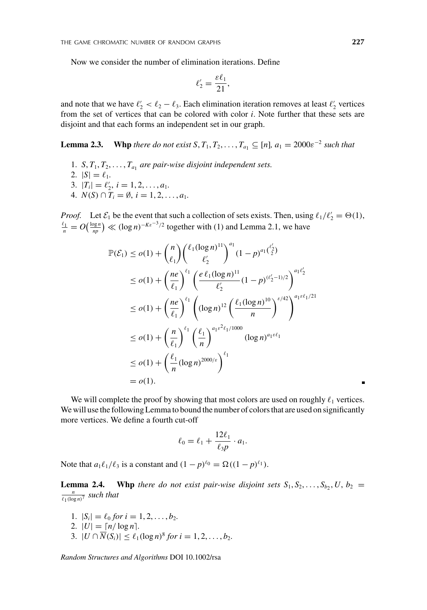Now we consider the number of elimination iterations. Define

$$
\ell_2'=\frac{\epsilon\ell_1}{21},
$$

and note that we have  $\ell_2' < \ell_2 - \ell_3$ . Each elimination iteration removes at least  $\ell_2'$  vertices from the set of vertices that can be colored with color *i*. Note further that these sets are disjoint and that each forms an independent set in our graph.

**Lemma 2.3.** Whp *there do not exist*  $S, T_1, T_2, \ldots, T_{a_1} \subseteq [n]$ *,*  $a_1 = 2000 \varepsilon^{-2}$  *such that* 

- 1. *S*,  $T_1, T_2, \ldots, T_{a_1}$  *are pair-wise disjoint independent sets.*
- 2.  $|S| = \ell_1$ .

3. 
$$
|T_i| = \ell'_2, i = 1, 2, ..., a_1.
$$

4.  $N(S) \cap T_i = \emptyset$ ,  $i = 1, 2, ..., a_1$ .

*Proof.* Let  $\mathcal{E}_1$  be the event that such a collection of sets exists. Then, using  $\ell_1/\ell_2' = \Theta(1)$ ,  $\ell_1 = O(\frac{\log n}{n}) \ll (\log n)^{-K\varepsilon^{-3}/2}$  together with (1) and I emma 2.1, we have  $\frac{p_1}{p_1}$  =  $O(\frac{\log n}{np})$  ≪ (log *n*)<sup>−*Kε*−3/2</sup> together with (1) and Lemma 2.1, we have

$$
\mathbb{P}(\mathcal{E}_1) \leq o(1) + {n \choose \ell_1} { \ell_1 (\log n)^{11} \choose \ell'_2}^{a_1} (1-p)^{a_1 { \ell'_2} \choose 2}
$$
  
\n
$$
\leq o(1) + {n \choose \ell_1}^{\ell_1} \left( \frac{e \ell_1 (\log n)^{11}}{\ell'_2} (1-p)^{(\ell'_2-1)/2} \right)^{a_1 \ell'_2}
$$
  
\n
$$
\leq o(1) + {n \choose \ell_1}^{\ell_1} \left( (\log n)^{12} \left( \frac{\ell_1 (\log n)^{10}}{n} \right)^{\epsilon/42} \right)^{a_1 \epsilon \ell_1/21}
$$
  
\n
$$
\leq o(1) + {n \choose \ell_1}^{\ell_1} \left( \frac{\ell_1}{n} \right)^{a_1 \epsilon^2 \ell_1/1000} (\log n)^{a_1 \epsilon \ell_1}
$$
  
\n
$$
\leq o(1) + { \ell_1 \choose n} (\log n)^{2000/\epsilon} \right)^{\ell_1}
$$
  
\n
$$
= o(1).
$$

We will complete the proof by showing that most colors are used on roughly  $\ell_1$  vertices. We will use the following Lemma to bound the number of colors that are used on significantly more vertices. We define a fourth cut-off

$$
\ell_0 = \ell_1 + \frac{12\ell_1}{\ell_3 p} \cdot a_1.
$$

Note that  $a_1 \ell_1/\ell_3$  is a constant and  $(1 - p)^{\ell_0} = \Omega((1 - p)^{\ell_1})$ .

**Lemma 2.4.** Whp *there do not exist pair-wise disjoint sets*  $S_1, S_2, \ldots, S_b, U, b_2$  =  $\frac{n}{\ell_1(\log n)^7}$  *such that* 

- 1.  $|S_i| = \ell_0$  *for*  $i = 1, 2, ..., b_2$ .
- 2.  $|U| = \frac{n}{\log n}$ .
- 3.  $|U \cap \overline{N}(S_i)| \le \ell_1(\log n)^8$  *for*  $i = 1, 2, ..., b_2$ .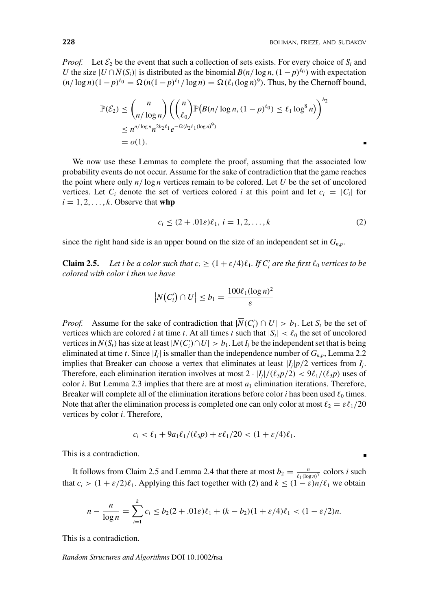*Proof.* Let  $\mathcal{E}_2$  be the event that such a collection of sets exists. For every choice of  $S_i$  and *U* the size  $|U \cap N(S_i)|$  is distributed as the binomial  $B(n/\log n, (1-p)^{\ell_0})$  with expectation  $(n/\log n)(1-p)^{\ell_0} = \Omega(n(1-p)^{\ell_1}/\log n) = \Omega(\ell_1(\log n)^9)$ . Thus, by the Chernoff bound,

$$
\mathbb{P}(\mathcal{E}_2) \leq {n \choose n/\log n} \left({n \choose \ell_0} \mathbb{P}(B(n/\log n, (1-p)^{\ell_0}) \leq \ell_1 \log^8 n)\right)^{b_2}
$$
  
\$\leq n^{n/\log n} n^{2b\_2 \ell\_1} e^{-\Omega(b\_2 \ell\_1(\log n)^9)}\$  
= o(1).

We now use these Lemmas to complete the proof, assuming that the associated low probability events do not occur. Assume for the sake of contradiction that the game reaches the point where only *n*/ log *n* vertices remain to be colored. Let *U* be the set of uncolored vertices. Let  $C_i$  denote the set of vertices colored *i* at this point and let  $c_i = |C_i|$  for  $i = 1, 2, \ldots, k$ . Observe that **whp** 

$$
c_i \le (2 + .01\varepsilon)\ell_1, \, i = 1, 2, \dots, k \tag{2}
$$

since the right hand side is an upper bound on the size of an independent set in  $G_{n,p}$ .

**Claim 2.5.** Let *i* be a color such that  $c_i \geq (1 + \varepsilon/4)\ell_1$ . If  $C'_i$  are the first  $\ell_0$  vertices to be *colored with color i then we have*

$$
\left|\overline{N}(C_i')\cap U\right|\leq b_1=\frac{100\ell_1(\log n)^2}{\varepsilon}
$$

*Proof.* Assume for the sake of contradiction that  $|N(C_i') \cap U| > b_1$ . Let  $S_t$  be the set of vertices which are colored *i* at time *t*. At all times *t* such that  $|S_t| < l_0$  the set of uncolored vertices in  $N(S_t)$  has size at least  $|N(C_i') \cap U| > b_1$ . Let  $I_j$  be the independent set that is being eliminated at time *t*. Since  $|I_j|$  is smaller than the independence number of  $G_{n,p}$ , Lemma 2.2 implies that Breaker can choose a vertex that eliminates at least  $|I_i|p/2$  vertices from  $I_i$ . Therefore, each elimination iteration involves at most  $2 \cdot |I_i|/(\ell_3 p/2) < 9\ell_1/(\ell_3 p)$  uses of color *i*. But Lemma 2.3 implies that there are at most  $a_1$  elimination iterations. Therefore, Breaker will complete all of the elimination iterations before color *i* has been used  $\ell_0$  times. Note that after the elimination process is completed one can only color at most  $\ell_2 = \varepsilon \ell_1/20$ vertices by color *i*. Therefore,

$$
c_i < \ell_1 + 9a_1\ell_1/(\ell_3 p) + \varepsilon\ell_1/20 < (1 + \varepsilon/4)\ell_1.
$$

This is a contradiction.

It follows from Claim 2.5 and Lemma 2.4 that there at most  $b_2 = \frac{n}{\ell_1(\log n)^7}$  colors *i* such that  $c_i > (1 + \varepsilon/2)\ell_1$ . Applying this fact together with (2) and  $k \le (1 - \varepsilon)n/\ell_1$  we obtain

$$
n - \frac{n}{\log n} = \sum_{i=1}^{k} c_i \le b_2(2 + 0.01\varepsilon)\ell_1 + (k - b_2)(1 + \varepsilon/4)\ell_1 < (1 - \varepsilon/2)n.
$$

This is a contradiction.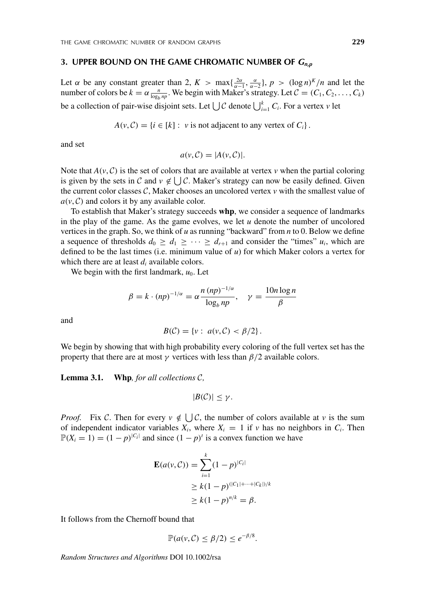#### **3. UPPER BOUND ON THE GAME CHROMATIC NUMBER OF** *Gn***,***<sup>p</sup>*

Let  $\alpha$  be any constant greater than 2,  $K > \max\{\frac{2\alpha}{\alpha-1}, \frac{\alpha}{\alpha-2}\}, p > (\log n)^K/n$  and let the number of colors be  $k = \alpha \frac{n}{\log_b np}$ . We begin with Maker's strategy. Let  $C = (C_1, C_2, \dots, C_k)$ be a collection of pair-wise disjoint sets. Let  $\bigcup \mathcal{C}$  denote  $\bigcup_{i=1}^k C_i$ . For a vertex *v* let

 $A(v, C) = \{i \in [k]: v \text{ is not adjacent to any vertex of } C_i\}.$ 

and set

$$
a(v, C) = |A(v, C)|.
$$

Note that  $A(\nu, C)$  is the set of colors that are available at vertex  $\nu$  when the partial coloring is given by the sets in C and  $v \notin \bigcup \mathcal{C}$ . Maker's strategy can now be easily defined. Given the current color classes  $C$ , Maker chooses an uncolored vertex  $\nu$  with the smallest value of  $a(v, C)$  and colors it by any available color.

To establish that Maker's strategy succeeds **whp**, we consider a sequence of landmarks in the play of the game. As the game evolves, we let *u* denote the number of uncolored vertices in the graph. So, we think of *u* as running "backward" from *n* to 0. Below we define a sequence of thresholds  $d_0 \geq d_1 \geq \cdots \geq d_{r+1}$  and consider the "times"  $u_i$ , which are defined to be the last times (i.e. minimum value of *u*) for which Maker colors a vertex for which there are at least *di* available colors.

We begin with the first landmark,  $u_0$ . Let

$$
\beta = k \cdot (np)^{-1/\alpha} = \alpha \frac{n (np)^{-1/\alpha}}{\log_b np}, \quad \gamma = \frac{10n \log n}{\beta}
$$

and

$$
B(\mathcal{C}) = \{v : a(v, \mathcal{C}) < \beta/2\}.
$$

We begin by showing that with high probability every coloring of the full vertex set has the property that there are at most  $\gamma$  vertices with less than  $\beta/2$  available colors.

**Lemma 3.1. Whp***, for all collections* C*,*

$$
|B(\mathcal{C})| \leq \gamma.
$$

*Proof.* Fix C. Then for every  $v \notin \bigcup \mathcal{C}$ , the number of colors available at v is the sum of independent indicator variables  $X_i$ , where  $X_i = 1$  if  $\nu$  has no neighbors in  $C_i$ . Then  $\mathbb{P}(X_i = 1) = (1 - p)^{|C_i|}$  and since  $(1 - p)^t$  is a convex function we have

$$
\mathbf{E}(a(v, C)) = \sum_{i=1}^{k} (1-p)^{|C_i|}
$$
  
\n
$$
\geq k(1-p)^{(|C_1|+\cdots+|C_k|)/k}
$$
  
\n
$$
\geq k(1-p)^{n/k} = \beta.
$$

It follows from the Chernoff bound that

$$
\mathbb{P}(a(v,\mathcal{C}) \leq \beta/2) \leq e^{-\beta/8}.
$$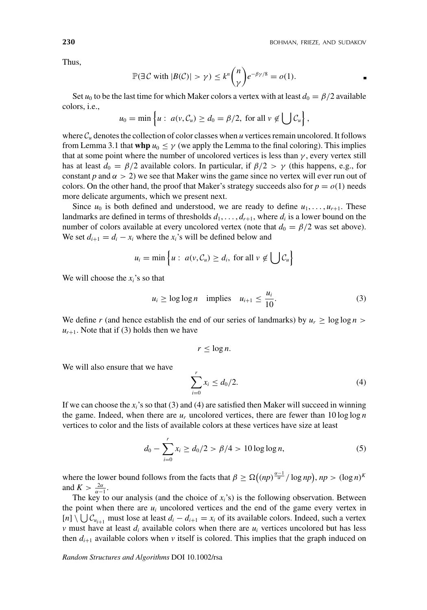Thus,

$$
\mathbb{P}(\exists C \text{ with } |B(C)| > \gamma) \leq k^n {n \choose \gamma} e^{-\beta \gamma/8} = o(1).
$$

Set  $u_0$  to be the last time for which Maker colors a vertex with at least  $d_0 = \frac{\beta}{2}$  available colors, i.e.,

$$
u_0 = \min\left\{u : a(v, C_u) \ge d_0 = \beta/2, \text{ for all } v \notin \bigcup C_u\right\},\
$$

where  $\mathcal{C}_u$  denotes the collection of color classes when *u* vertices remain uncolored. It follows from Lemma 3.1 that **whp**  $u_0 \leq \gamma$  (we apply the Lemma to the final coloring). This implies that at some point where the number of uncolored vertices is less than  $\gamma$ , every vertex still has at least  $d_0 = \beta/2$  available colors. In particular, if  $\beta/2 > \gamma$  (this happens, e.g., for constant *p* and  $\alpha > 2$ ) we see that Maker wins the game since no vertex will ever run out of colors. On the other hand, the proof that Maker's strategy succeeds also for  $p = o(1)$  needs more delicate arguments, which we present next.

Since  $u_0$  is both defined and understood, we are ready to define  $u_1, \ldots, u_{r+1}$ . These landmarks are defined in terms of thresholds  $d_1, \ldots, d_{r+1}$ , where  $d_i$  is a lower bound on the number of colors available at every uncolored vertex (note that  $d_0 = \beta/2$  was set above). We set  $d_{i+1} = d_i - x_i$  where the  $x_i$ 's will be defined below and

$$
u_i = \min\left\{u : a(v, C_u) \ge d_i, \text{ for all } v \notin \bigcup C_u\right\}
$$

We will choose the *xi*'s so that

$$
u_i \ge \log \log n \quad \text{implies} \quad u_{i+1} \le \frac{u_i}{10}.\tag{3}
$$

We define *r* (and hence establish the end of our series of landmarks) by  $u_r \ge \log \log n$  $u_{r+1}$ . Note that if (3) holds then we have

$$
r \leq \log n.
$$

We will also ensure that we have

$$
\sum_{i=0}^{r} x_i \le d_0/2.
$$
 (4)

If we can choose the  $x_i$ 's so that (3) and (4) are satisfied then Maker will succeed in winning the game. Indeed, when there are  $u_r$  uncolored vertices, there are fewer than  $10 \log \log n$ vertices to color and the lists of available colors at these vertices have size at least

$$
d_0 - \sum_{i=0}^{r} x_i \ge d_0/2 > \beta/4 > 10 \log \log n, \tag{5}
$$

where the lower bound follows from the facts that  $\beta \geq \Omega((np)^{\frac{\alpha-1}{\alpha}}/\log np)$ ,  $np > (\log n)^{K}$ and  $K > \frac{2\alpha}{\alpha - 1}$ .

The key to our analysis (and the choice of  $x_i$ 's) is the following observation. Between the point when there are  $u_i$  uncolored vertices and the end of the game every vertex in  $[n] \setminus \bigcup C_{u_{i+1}}$  must lose at least  $d_i - d_{i+1} = x_i$  of its available colors. Indeed, such a vertex *v* must have at least  $d_i$  available colors when there are  $u_i$  vertices uncolored but has less then  $d_{i+1}$  available colors when *v* itself is colored. This implies that the graph induced on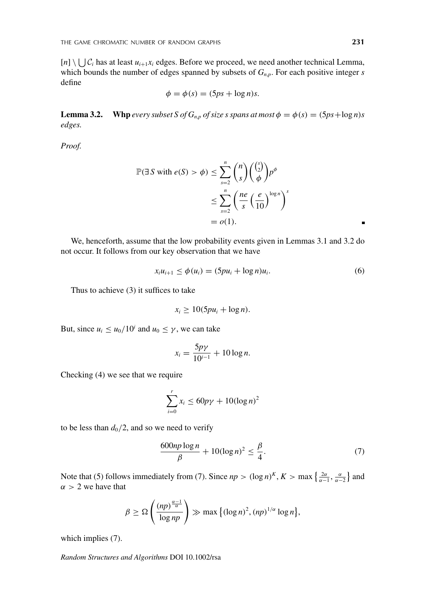$[n] \setminus \bigcup \mathcal{C}_i$  has at least  $u_{i+1}x_i$  edges. Before we proceed, we need another technical Lemma, which bounds the number of edges spanned by subsets of  $G_{n,p}$ . For each positive integer *s* define

$$
\phi = \phi(s) = (5ps + \log n)s.
$$

**Lemma 3.2.** Whp *every subset S of G<sub>n,p</sub> of size s spans at most*  $\phi = \phi(s) = (5ps + \log n)s$ *edges.*

*Proof.*

$$
\mathbb{P}(\exists S \text{ with } e(S) > \phi) \le \sum_{s=2}^{n} {n \choose s} {s \choose \phi} p^{\phi}
$$
  

$$
\le \sum_{s=2}^{n} {ne \choose s} {e \choose \overline{10}}^{log n} {s \choose \overline{10}}
$$
  
= o(1).

We, henceforth, assume that the low probability events given in Lemmas 3.1 and 3.2 do not occur. It follows from our key observation that we have

$$
x_i u_{i+1} \le \phi(u_i) = (5pu_i + \log n)u_i.
$$
 (6)

Thus to achieve (3) it suffices to take

$$
x_i \geq 10(5pu_i + \log n).
$$

But, since  $u_i \le u_0/10^i$  and  $u_0 \le \gamma$ , we can take

$$
x_i = \frac{5p\gamma}{10^{i-1}} + 10\log n.
$$

Checking (4) we see that we require

$$
\sum_{i=0}^{r} x_i \le 60p\gamma + 10(\log n)^2
$$

to be less than  $d_0/2$ , and so we need to verify

$$
\frac{600np\log n}{\beta} + 10(\log n)^2 \le \frac{\beta}{4}.\tag{7}
$$

Note that (5) follows immediately from (7). Since  $np > (\log n)^K$ ,  $K > \max\left\{\frac{2\alpha}{\alpha-1}, \frac{\alpha}{\alpha-2}\right\}$  and  $\alpha > 2$  we have that

$$
\beta \geq \Omega\left(\frac{(np)^{\frac{\alpha-1}{\alpha}}}{\log np}\right) \gg \max\left\{(\log n)^2, (np)^{1/\alpha}\log n\right\},\right.
$$

which implies (7).

*Random Structures and Algorithms* DOI 10.1002/rsa

 $\blacksquare$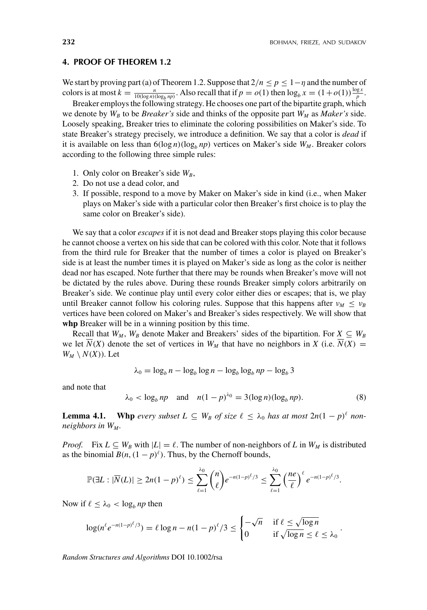.

#### **4. PROOF OF THEOREM 1.2**

We start by proving part (a) of Theorem 1.2. Suppose that  $2/n \le p \le 1-\eta$  and the number of colors is at most  $k = \frac{n}{10(\log n)(\log_b np)}$ . Also recall that if  $p = o(1)$  then  $\log_b x = (1 + o(1))\frac{\log x}{p}$ .

Breaker employs the following strategy. He chooses one part of the bipartite graph, which we denote by  $W_B$  to be *Breaker's* side and thinks of the opposite part  $W_M$  as *Maker's* side. Loosely speaking, Breaker tries to eliminate the coloring possibilities on Maker's side. To state Breaker's strategy precisely, we introduce a definition. We say that a color is *dead* if it is available on less than  $6(\log n)(\log_b np)$  vertices on Maker's side  $W_M$ . Breaker colors according to the following three simple rules:

- 1. Only color on Breaker's side  $W_B$ ,
- 2. Do not use a dead color, and
- 3. If possible, respond to a move by Maker on Maker's side in kind (i.e., when Maker plays on Maker's side with a particular color then Breaker's first choice is to play the same color on Breaker's side).

We say that a color *escapes* if it is not dead and Breaker stops playing this color because he cannot choose a vertex on his side that can be colored with this color. Note that it follows from the third rule for Breaker that the number of times a color is played on Breaker's side is at least the number times it is played on Maker's side as long as the color is neither dead nor has escaped. Note further that there may be rounds when Breaker's move will not be dictated by the rules above. During these rounds Breaker simply colors arbitrarily on Breaker's side. We continue play until every color either dies or escapes; that is, we play until Breaker cannot follow his coloring rules. Suppose that this happens after  $v_M \leq v_B$ vertices have been colored on Maker's and Breaker's sides respectively. We will show that **whp** Breaker will be in a winning position by this time.

Recall that  $W_M$ ,  $W_B$  denote Maker and Breakers' sides of the bipartition. For  $X \subseteq W_B$ we let  $\overline{N}(X)$  denote the set of vertices in  $W_M$  that have no neighbors in *X* (i.e.  $\overline{N}(X)$ ) =  $W_M \setminus N(X)$ ). Let

$$
\lambda_0 = \log_b n - \log_b \log n - \log_b \log_b np - \log_b 3
$$

and note that

$$
\lambda_0 < \log_b np \quad \text{and} \quad n(1-p)^{\lambda_0} = 3(\log n)(\log_b np). \tag{8}
$$

**Lemma 4.1.** Whp *every subset*  $L \subseteq W_B$  *of size*  $\ell \leq \lambda_0$  *has at most*  $2n(1-p)^{\ell}$  *nonneighbors in WM .*

*Proof.* Fix  $L \subseteq W_B$  with  $|L| = \ell$ . The number of non-neighbors of L in  $W_M$  is distributed as the binomial  $B(n,(1-p)^{\ell})$ . Thus, by the Chernoff bounds,

$$
\mathbb{P}(\exists L : |\overline{N}(L)| \ge 2n(1-p)^{\ell}) \le \sum_{\ell=1}^{\lambda_0} {n \choose \ell} e^{-n(1-p)^{\ell}/3} \le \sum_{\ell=1}^{\lambda_0} \left(\frac{ne}{\ell}\right)^{\ell} e^{-n(1-p)^{\ell}/3}.
$$

Now if  $\ell \leq \lambda_0 < \log_b np$  then

$$
\log(n^{\ell}e^{-n(1-p)^{\ell}/3}) = \ell \log n - n(1-p)^{\ell}/3 \le \begin{cases} -\sqrt{n} & \text{if } \ell \le \sqrt{\log n} \\ 0 & \text{if } \sqrt{\log n} \le \ell \le \lambda_0 \end{cases}
$$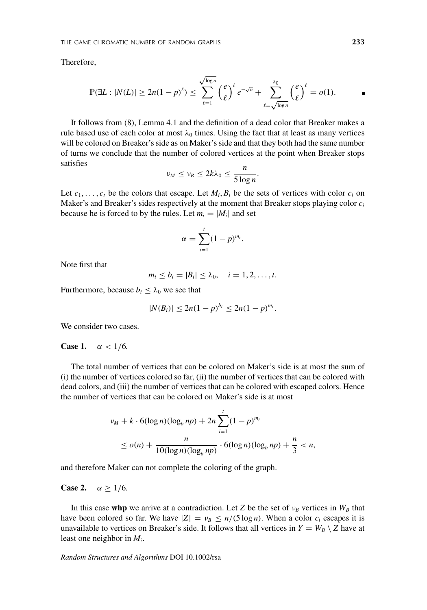Therefore,

$$
\mathbb{P}(\exists L : |\overline{N}(L)| \ge 2n(1-p)^{\ell}) \le \sum_{\ell=1}^{\sqrt{\log n}} \left(\frac{e}{\ell}\right)^{\ell} e^{-\sqrt{n}} + \sum_{\ell=\sqrt{\log n}}^{\lambda_0} \left(\frac{e}{\ell}\right)^{\ell} = o(1).
$$

It follows from (8), Lemma 4.1 and the definition of a dead color that Breaker makes a rule based use of each color at most  $\lambda_0$  times. Using the fact that at least as many vertices will be colored on Breaker's side as on Maker's side and that they both had the same number of turns we conclude that the number of colored vertices at the point when Breaker stops satisfies

$$
\nu_M \le \nu_B \le 2k\lambda_0 \le \frac{n}{5\log n}.
$$

Let  $c_1, \ldots, c_t$  be the colors that escape. Let  $M_i, B_i$  be the sets of vertices with color  $c_i$  on Maker's and Breaker's sides respectively at the moment that Breaker stops playing color *ci* because he is forced to by the rules. Let  $m_i = |M_i|$  and set

$$
\alpha=\sum_{i=1}^t(1-p)^{m_i}.
$$

Note first that

$$
m_i \leq b_i = |B_i| \leq \lambda_0, \quad i = 1, 2, \ldots, t.
$$

Furthermore, because  $b_i \leq \lambda_0$  we see that

$$
|\overline{N}(B_i)| \le 2n(1-p)^{b_i} \le 2n(1-p)^{m_i}.
$$

We consider two cases.

#### **Case 1.**  $\alpha$  < 1/6*.*

The total number of vertices that can be colored on Maker's side is at most the sum of (i) the number of vertices colored so far, (ii) the number of vertices that can be colored with dead colors, and (iii) the number of vertices that can be colored with escaped colors. Hence the number of vertices that can be colored on Maker's side is at most

$$
\nu_M + k \cdot 6(\log n)(\log_b np) + 2n \sum_{i=1}^t (1-p)^{m_i}
$$
  
 
$$
\leq o(n) + \frac{n}{10(\log n)(\log_b np)} \cdot 6(\log n)(\log_b np) + \frac{n}{3} < n,
$$

and therefore Maker can not complete the coloring of the graph.

**Case 2.**  $\alpha > 1/6$ .

In this case whp we arrive at a contradiction. Let *Z* be the set of  $v_B$  vertices in  $W_B$  that have been colored so far. We have  $|Z| = v_B \le n/(5 \log n)$ . When a color  $c_i$  escapes it is unavailable to vertices on Breaker's side. It follows that all vertices in  $Y = W_B \setminus Z$  have at least one neighbor in *Mi*.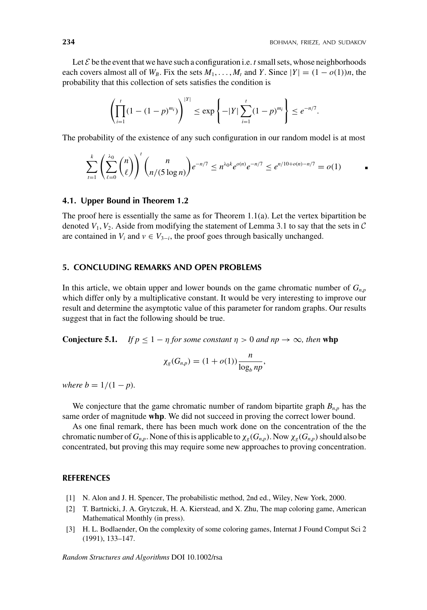Let  $\mathcal E$  be the event that we have such a configuration i.e.  $t$  small sets, whose neighborhoods each covers almost all of  $W_B$ . Fix the sets  $M_1, \ldots, M_t$  and *Y*. Since  $|Y| = (1 - o(1))n$ , the probability that this collection of sets satisfies the condition is

$$
\left(\prod_{i=1}^t (1-(1-p)^{m_i})\right)^{|Y|} \le \exp\left\{-|Y|\sum_{i=1}^t (1-p)^{m_i}\right\} \le e^{-n/7}.
$$

The probability of the existence of any such configuration in our random model is at most

$$
\sum_{t=1}^k \left( \sum_{\ell=0}^{\lambda_0} \binom{n}{\ell} \right)^t \binom{n}{n/(5 \log n)} e^{-n/7} \le n^{\lambda_0 k} e^{o(n)} e^{-n/7} \le e^{n/10 + o(n) - n/7} = o(1) \qquad \qquad \blacksquare
$$

#### **4.1. Upper Bound in Theorem 1.2**

The proof here is essentially the same as for Theorem 1.1(a). Let the vertex bipartition be denoted  $V_1$ ,  $V_2$ . Aside from modifying the statement of Lemma 3.1 to say that the sets in  $\mathcal C$ are contained in  $V_i$  and  $v \in V_{3-i}$ , the proof goes through basically unchanged.

#### **5. CONCLUDING REMARKS AND OPEN PROBLEMS**

In this article, we obtain upper and lower bounds on the game chromatic number of  $G_{n,p}$ which differ only by a multiplicative constant. It would be very interesting to improve our result and determine the asymptotic value of this parameter for random graphs. Our results suggest that in fact the following should be true.

**Conjecture 5.1.** *If*  $p < 1 - \eta$  *for some constant*  $\eta > 0$  *and*  $n p \to \infty$ *, then* whp

$$
\chi_g(G_{n,p})=(1+o(1))\frac{n}{\log_b np},
$$

*where b* =  $1/(1 - p)$ *.* 

We conjecture that the game chromatic number of random bipartite graph  $B_{n,p}$  has the same order of magnitude **whp**. We did not succeed in proving the correct lower bound.

As one final remark, there has been much work done on the concentration of the the chromatic number of  $G_{n,p}$ . None of this is applicable to  $\chi_g(G_{n,p})$ . Now  $\chi_g(G_{n,p})$  should also be concentrated, but proving this may require some new approaches to proving concentration.

#### **REFERENCES**

- [1] N. Alon and J. H. Spencer, The probabilistic method, 2nd ed., Wiley, New York, 2000.
- [2] T. Bartnicki, J. A. Grytczuk, H. A. Kierstead, and X. Zhu, The map coloring game, American Mathematical Monthly (in press).
- [3] H. L. Bodlaender, On the complexity of some coloring games, Internat J Found Comput Sci 2 (1991), 133–147.